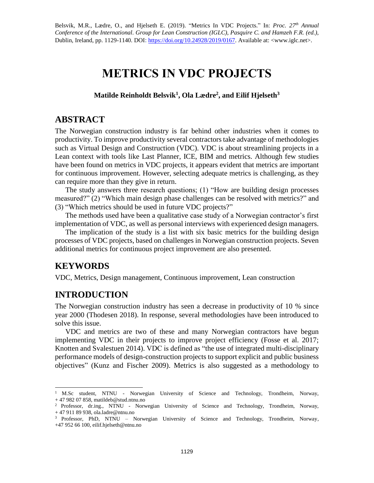Belsvik, M.R., Lædre, O., and Hjelseth E. (2019). "Metrics In VDC Projects." In: *Proc. 27 th Annual Conference of the International. Group for Lean Construction (IGLC), Pasquire C. and Hamzeh F.R. (ed.)*, Dublin, Ireland, pp. 1129-1140. DOI: [https://doi.org/10.24928/2019/0167.](https://doi.org/10.24928/2019/0167) Available at: <www.iglc.net>.

# **METRICS IN VDC PROJECTS**

**Matilde Reinholdt Belsvik<sup>1</sup> , Ola Lædre<sup>2</sup> , and Eilif Hjelseth<sup>3</sup>**

### **ABSTRACT**

The Norwegian construction industry is far behind other industries when it comes to productivity. To improve productivity several contractors take advantage of methodologies such as Virtual Design and Construction (VDC). VDC is about streamlining projects in a Lean context with tools like Last Planner, ICE, BIM and metrics. Although few studies have been found on metrics in VDC projects, it appears evident that metrics are important for continuous improvement. However, selecting adequate metrics is challenging, as they can require more than they give in return.

The study answers three research questions; (1) "How are building design processes measured?" (2) "Which main design phase challenges can be resolved with metrics?" and (3) "Which metrics should be used in future VDC projects?"

The methods used have been a qualitative case study of a Norwegian contractor's first implementation of VDC, as well as personal interviews with experienced design managers.

The implication of the study is a list with six basic metrics for the building design processes of VDC projects, based on challenges in Norwegian construction projects. Seven additional metrics for continuous project improvement are also presented.

## **KEYWORDS**

VDC, Metrics, Design management, Continuous improvement, Lean construction

# **INTRODUCTION**

The Norwegian construction industry has seen a decrease in productivity of 10 % since year 2000 (Thodesen 2018). In response, several methodologies have been introduced to solve this issue.

VDC and metrics are two of these and many Norwegian contractors have begun implementing VDC in their projects to improve project efficiency (Fosse et al. 2017; Knotten and Svalestuen 2014). VDC is defined as "the use of integrated multi-disciplinary performance models of design-construction projects to support explicit and public business objectives" (Kunz and Fischer 2009). Metrics is also suggested as a methodology to

 $\overline{a}$ <sup>1</sup> M.Sc student, NTNU - Norwegian University of Science and Technology, Trondheim, Norway, + 47 982 07 858, matildeb@stud.ntnu.no

<sup>2</sup> Professor, dr.ing., NTNU - Norwegian University of Science and Technology, Trondheim, Norway, + 47 911 89 938, ola.ladre@ntnu.no

<sup>3</sup> Professor, PhD, NTNU – Norwegian University of Science and Technology, Trondheim, Norway, +47 952 66 100, eilif.hjelseth@ntnu.no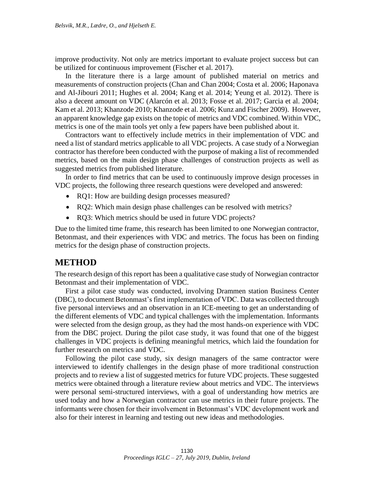improve productivity. Not only are metrics important to evaluate project success but can be utilized for continuous improvement (Fischer et al. 2017).

In the literature there is a large amount of published material on metrics and measurements of construction projects (Chan and Chan 2004; Costa et al. 2006; Haponava and Al-Jibouri 2011; Hughes et al. 2004; Kang et al. 2014; Yeung et al. 2012). There is also a decent amount on VDC (Alarcón et al. 2013; Fosse et al. 2017; Garcia et al. 2004; Kam et al. 2013; Khanzode 2010; Khanzode et al. 2006; Kunz and Fischer 2009). However, an apparent knowledge gap exists on the topic of metrics and VDC combined. Within VDC, metrics is one of the main tools yet only a few papers have been published about it.

Contractors want to effectively include metrics in their implementation of VDC and need a list of standard metrics applicable to all VDC projects. A case study of a Norwegian contractor has therefore been conducted with the purpose of making a list of recommended metrics, based on the main design phase challenges of construction projects as well as suggested metrics from published literature.

In order to find metrics that can be used to continuously improve design processes in VDC projects, the following three research questions were developed and answered:

- RQ1: How are building design processes measured?
- RQ2: Which main design phase challenges can be resolved with metrics?
- RQ3: Which metrics should be used in future VDC projects?

Due to the limited time frame, this research has been limited to one Norwegian contractor, Betonmast, and their experiences with VDC and metrics. The focus has been on finding metrics for the design phase of construction projects.

### **METHOD**

The research design of this report has been a qualitative case study of Norwegian contractor Betonmast and their implementation of VDC.

First a pilot case study was conducted, involving Drammen station Business Center (DBC), to document Betonmast's first implementation of VDC. Data was collected through five personal interviews and an observation in an ICE-meeting to get an understanding of the different elements of VDC and typical challenges with the implementation. Informants were selected from the design group, as they had the most hands-on experience with VDC from the DBC project. During the pilot case study, it was found that one of the biggest challenges in VDC projects is defining meaningful metrics, which laid the foundation for further research on metrics and VDC.

Following the pilot case study, six design managers of the same contractor were interviewed to identify challenges in the design phase of more traditional construction projects and to review a list of suggested metrics for future VDC projects. These suggested metrics were obtained through a literature review about metrics and VDC. The interviews were personal semi-structured interviews, with a goal of understanding how metrics are used today and how a Norwegian contractor can use metrics in their future projects. The informants were chosen for their involvement in Betonmast's VDC development work and also for their interest in learning and testing out new ideas and methodologies.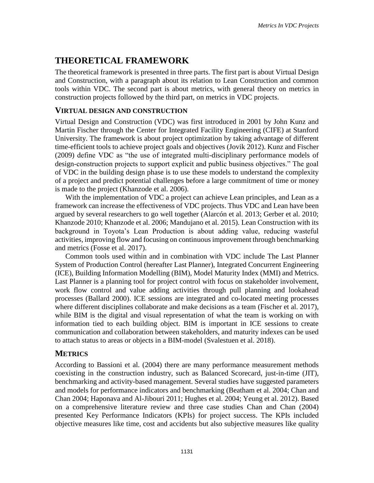# **THEORETICAL FRAMEWORK**

The theoretical framework is presented in three parts. The first part is about Virtual Design and Construction, with a paragraph about its relation to Lean Construction and common tools within VDC. The second part is about metrics, with general theory on metrics in construction projects followed by the third part, on metrics in VDC projects.

### **VIRTUAL DESIGN AND CONSTRUCTION**

Virtual Design and Construction (VDC) was first introduced in 2001 by John Kunz and Martin Fischer through the Center for Integrated Facility Engineering (CIFE) at Stanford University. The framework is about project optimization by taking advantage of different time-efficient tools to achieve project goals and objectives (Jovik 2012). Kunz and Fischer (2009) define VDC as "the use of integrated multi-disciplinary performance models of design-construction projects to support explicit and public business objectives." The goal of VDC in the building design phase is to use these models to understand the complexity of a project and predict potential challenges before a large commitment of time or money is made to the project (Khanzode et al. 2006).

With the implementation of VDC a project can achieve Lean principles, and Lean as a framework can increase the effectiveness of VDC projects. Thus VDC and Lean have been argued by several researchers to go well together (Alarcón et al. 2013; Gerber et al. 2010; Khanzode 2010; Khanzode et al. 2006; Mandujano et al. 2015). Lean Construction with its background in Toyota's Lean Production is about adding value, reducing wasteful activities, improving flow and focusing on continuous improvement through benchmarking and metrics (Fosse et al. 2017).

Common tools used within and in combination with VDC include The Last Planner System of Production Control (hereafter Last Planner), Integrated Concurrent Engineering (ICE), Building Information Modelling (BIM), Model Maturity Index (MMI) and Metrics. Last Planner is a planning tool for project control with focus on stakeholder involvement, work flow control and value adding activities through pull planning and lookahead processes (Ballard 2000). ICE sessions are integrated and co-located meeting processes where different disciplines collaborate and make decisions as a team (Fischer et al. 2017), while BIM is the digital and visual representation of what the team is working on with information tied to each building object. BIM is important in ICE sessions to create communication and collaboration between stakeholders, and maturity indexes can be used to attach status to areas or objects in a BIM-model (Svalestuen et al. 2018).

### **METRICS**

According to Bassioni et al. (2004) there are many performance measurement methods coexisting in the construction industry, such as Balanced Scorecard, just-in-time (JIT), benchmarking and activity-based management. Several studies have suggested parameters and models for performance indicators and benchmarking (Beatham et al. 2004; Chan and Chan 2004; Haponava and Al-Jibouri 2011; Hughes et al. 2004; Yeung et al. 2012). Based on a comprehensive literature review and three case studies Chan and Chan (2004) presented Key Performance Indicators (KPIs) for project success. The KPIs included objective measures like time, cost and accidents but also subjective measures like quality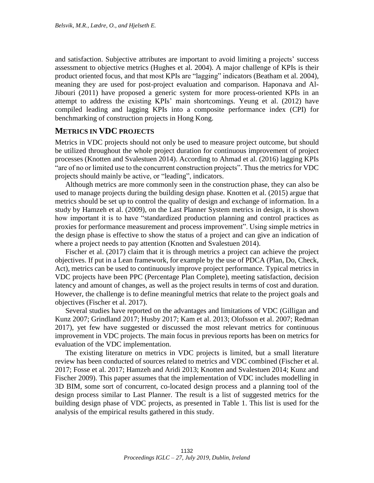and satisfaction. Subjective attributes are important to avoid limiting a projects' success assessment to objective metrics (Hughes et al. 2004). A major challenge of KPIs is their product oriented focus, and that most KPIs are "lagging" indicators (Beatham et al. 2004), meaning they are used for post-project evaluation and comparison. Haponava and Al-Jibouri (2011) have proposed a generic system for more process-oriented KPIs in an attempt to address the existing KPIs' main shortcomings. Yeung et al. (2012) have compiled leading and lagging KPIs into a composite performance index (CPI) for benchmarking of construction projects in Hong Kong.

#### **METRICS IN VDC PROJECTS**

Metrics in VDC projects should not only be used to measure project outcome, but should be utilized throughout the whole project duration for continuous improvement of project processes (Knotten and Svalestuen 2014). According to Ahmad et al. (2016) lagging KPIs "are of no or limited use to the concurrent construction projects". Thus the metrics for VDC projects should mainly be active, or "leading", indicators.

Although metrics are more commonly seen in the construction phase, they can also be used to manage projects during the building design phase. Knotten et al. (2015) argue that metrics should be set up to control the quality of design and exchange of information. In a study by Hamzeh et al. (2009), on the Last Planner System metrics in design, it is shown how important it is to have "standardized production planning and control practices as proxies for performance measurement and process improvement". Using simple metrics in the design phase is effective to show the status of a project and can give an indication of where a project needs to pay attention (Knotten and Svalestuen 2014).

Fischer et al. (2017) claim that it is through metrics a project can achieve the project objectives. If put in a Lean framework, for example by the use of PDCA (Plan, Do, Check, Act), metrics can be used to continuously improve project performance. Typical metrics in VDC projects have been PPC (Percentage Plan Complete), meeting satisfaction, decision latency and amount of changes, as well as the project results in terms of cost and duration. However, the challenge is to define meaningful metrics that relate to the project goals and objectives (Fischer et al. 2017).

Several studies have reported on the advantages and limitations of VDC (Gilligan and Kunz 2007; Grindland 2017; Husby 2017; Kam et al. 2013; Olofsson et al. 2007; Redman 2017), yet few have suggested or discussed the most relevant metrics for continuous improvement in VDC projects. The main focus in previous reports has been on metrics for evaluation of the VDC implementation.

The existing literature on metrics in VDC projects is limited, but a small literature review has been conducted of sources related to metrics and VDC combined (Fischer et al. 2017; Fosse et al. 2017; Hamzeh and Aridi 2013; Knotten and Svalestuen 2014; Kunz and Fischer 2009). This paper assumes that the implementation of VDC includes modelling in 3D BIM, some sort of concurrent, co-located design process and a planning tool of the design process similar to Last Planner. The result is a list of suggested metrics for the building design phase of VDC projects, as presented in [Table 1.](#page-4-0) This list is used for the analysis of the empirical results gathered in this study.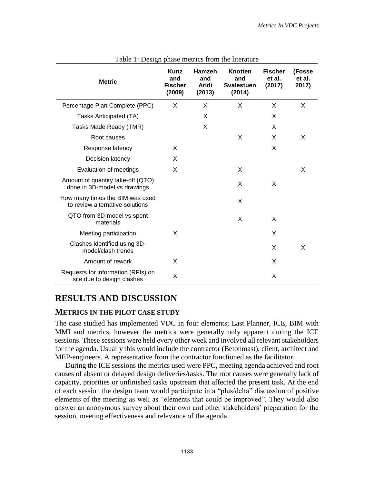<span id="page-4-0"></span>

| <b>Metric</b>                                                      | Kunz<br>and<br><b>Fischer</b><br>(2009) | Hamzeh<br>and<br><b>Aridi</b><br>(2013) | Knotten<br>and<br><b>Svalestuen</b><br>(2014) | <b>Fischer</b><br>et al.<br>(2017) | (Fosse<br>et al.<br>2017) |
|--------------------------------------------------------------------|-----------------------------------------|-----------------------------------------|-----------------------------------------------|------------------------------------|---------------------------|
| Percentage Plan Complete (PPC)                                     | X                                       | X                                       | X                                             | X                                  | X                         |
| Tasks Anticipated (TA)                                             |                                         | X                                       |                                               | X                                  |                           |
| Tasks Made Ready (TMR)                                             |                                         | X                                       |                                               | X                                  |                           |
| Root causes                                                        |                                         |                                         | X                                             | X                                  | X                         |
| Response latency                                                   | X                                       |                                         |                                               | X                                  |                           |
| Decision latency                                                   | X                                       |                                         |                                               |                                    |                           |
| Evaluation of meetings                                             | X                                       |                                         | X                                             |                                    | X                         |
| Amount of quantity take-off (QTO)<br>done in 3D-model vs drawings  |                                         |                                         | X                                             | X                                  |                           |
| How many times the BIM was used<br>to review alternative solutions |                                         |                                         | X                                             |                                    |                           |
| QTO from 3D-model vs spent<br>materials                            |                                         |                                         | X                                             | X                                  |                           |
| Meeting participation                                              | X                                       |                                         |                                               | X                                  |                           |
| Clashes identified using 3D-<br>model/clash trends                 |                                         |                                         |                                               | X                                  | X                         |
| Amount of rework                                                   | X                                       |                                         |                                               | X                                  |                           |
| Requests for information (RFIs) on<br>site due to design clashes   | X                                       |                                         |                                               | X                                  |                           |

Table 1: Design phase metrics from the literature

## **RESULTS AND DISCUSSION**

#### **METRICS IN THE PILOT CASE STUDY**

The case studied has implemented VDC in four elements; Last Planner, ICE, BIM with MMI and metrics, however the metrics were generally only apparent during the ICE sessions. These sessions were held every other week and involved all relevant stakeholders for the agenda. Usually this would include the contractor (Betonmast), client, architect and MEP-engineers. A representative from the contractor functioned as the facilitator.

During the ICE sessions the metrics used were PPC, meeting agenda achieved and root causes of absent or delayed design deliveries/tasks. The root causes were generally lack of capacity, priorities or unfinished tasks upstream that affected the present task. At the end of each session the design team would participate in a "plus/delta" discussion of positive elements of the meeting as well as "elements that could be improved". They would also answer an anonymous survey about their own and other stakeholders' preparation for the session, meeting effectiveness and relevance of the agenda.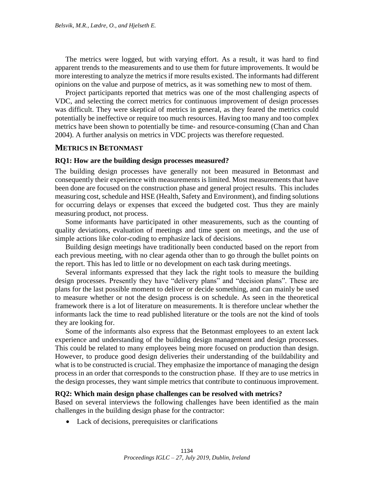The metrics were logged, but with varying effort. As a result, it was hard to find apparent trends to the measurements and to use them for future improvements. It would be more interesting to analyze the metrics if more results existed. The informants had different opinions on the value and purpose of metrics, as it was something new to most of them.

Project participants reported that metrics was one of the most challenging aspects of VDC, and selecting the correct metrics for continuous improvement of design processes was difficult. They were skeptical of metrics in general, as they feared the metrics could potentially be ineffective or require too much resources. Having too many and too complex metrics have been shown to potentially be time- and resource-consuming (Chan and Chan 2004). A further analysis on metrics in VDC projects was therefore requested.

#### **METRICS IN BETONMAST**

#### **RQ1: How are the building design processes measured?**

The building design processes have generally not been measured in Betonmast and consequently their experience with measurements is limited. Most measurements that have been done are focused on the construction phase and general project results. This includes measuring cost, schedule and HSE (Health, Safety and Environment), and finding solutions for occurring delays or expenses that exceed the budgeted cost. Thus they are mainly measuring product, not process.

Some informants have participated in other measurements, such as the counting of quality deviations, evaluation of meetings and time spent on meetings, and the use of simple actions like color-coding to emphasize lack of decisions.

Building design meetings have traditionally been conducted based on the report from each previous meeting, with no clear agenda other than to go through the bullet points on the report. This has led to little or no development on each task during meetings.

Several informants expressed that they lack the right tools to measure the building design processes. Presently they have "delivery plans" and "decision plans". These are plans for the last possible moment to deliver or decide something, and can mainly be used to measure whether or not the design process is on schedule. As seen in the theoretical framework there is a lot of literature on measurements. It is therefore unclear whether the informants lack the time to read published literature or the tools are not the kind of tools they are looking for.

Some of the informants also express that the Betonmast employees to an extent lack experience and understanding of the building design management and design processes. This could be related to many employees being more focused on production than design. However, to produce good design deliveries their understanding of the buildability and what is to be constructed is crucial. They emphasize the importance of managing the design process in an order that corresponds to the construction phase. If they are to use metrics in the design processes, they want simple metrics that contribute to continuous improvement.

#### **RQ2: Which main design phase challenges can be resolved with metrics?**

Based on several interviews the following challenges have been identified as the main challenges in the building design phase for the contractor:

Lack of decisions, prerequisites or clarifications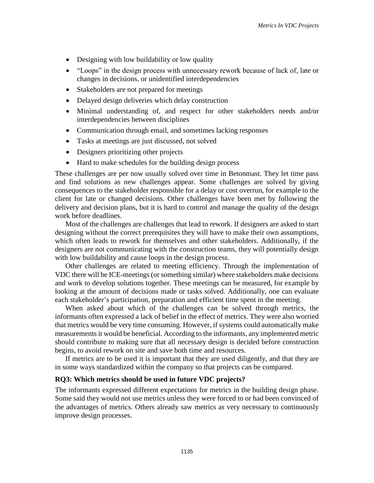- Designing with low buildability or low quality
- "Loops" in the design process with unnecessary rework because of lack of, late or changes in decisions, or unidentified interdependencies
- Stakeholders are not prepared for meetings
- Delayed design deliveries which delay construction
- Minimal understanding of, and respect for other stakeholders needs and/or interdependencies between disciplines
- Communication through email, and sometimes lacking responses
- Tasks at meetings are just discussed, not solved
- Designers prioritizing other projects
- Hard to make schedules for the building design process

These challenges are per now usually solved over time in Betonmast. They let time pass and find solutions as new challenges appear. Some challenges are solved by giving consequences to the stakeholder responsible for a delay or cost overrun, for example to the client for late or changed decisions. Other challenges have been met by following the delivery and decision plans, but it is hard to control and manage the quality of the design work before deadlines.

Most of the challenges are challenges that lead to rework. If designers are asked to start designing without the correct prerequisites they will have to make their own assumptions, which often leads to rework for themselves and other stakeholders. Additionally, if the designers are not communicating with the construction teams, they will potentially design with low buildability and cause loops in the design process.

Other challenges are related to meeting efficiency. Through the implementation of VDC there will be ICE-meetings (or something similar) where stakeholders make decisions and work to develop solutions together. These meetings can be measured, for example by looking at the amount of decisions made or tasks solved. Additionally, one can evaluate each stakeholder's participation, preparation and efficient time spent in the meeting.

When asked about which of the challenges can be solved through metrics, the informants often expressed a lack of belief in the effect of metrics. They were also worried that metrics would be very time consuming. However, if systems could automatically make measurements it would be beneficial. According to the informants, any implemented metric should contribute to making sure that all necessary design is decided before construction begins, to avoid rework on site and save both time and resources.

If metrics are to be used it is important that they are used diligently, and that they are in some ways standardized within the company so that projects can be compared.

#### **RQ3: Which metrics should be used in future VDC projects?**

The informants expressed different expectations for metrics in the building design phase. Some said they would not use metrics unless they were forced to or had been convinced of the advantages of metrics. Others already saw metrics as very necessary to continuously improve design processes.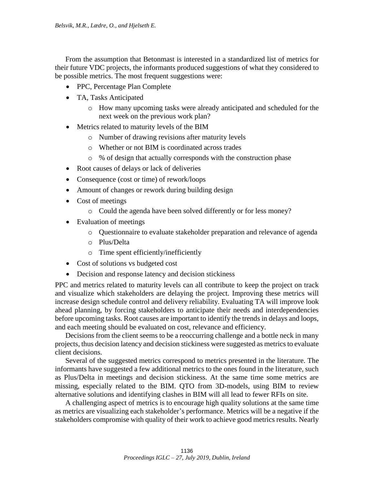From the assumption that Betonmast is interested in a standardized list of metrics for their future VDC projects, the informants produced suggestions of what they considered to be possible metrics. The most frequent suggestions were:

- PPC, Percentage Plan Complete
- TA, Tasks Anticipated
	- o How many upcoming tasks were already anticipated and scheduled for the next week on the previous work plan?
- Metrics related to maturity levels of the BIM
	- o Number of drawing revisions after maturity levels
	- o Whether or not BIM is coordinated across trades
	- o % of design that actually corresponds with the construction phase
- Root causes of delays or lack of deliveries
- Consequence (cost or time) of rework/loops
- Amount of changes or rework during building design
- Cost of meetings
	- o Could the agenda have been solved differently or for less money?
- Evaluation of meetings
	- o Questionnaire to evaluate stakeholder preparation and relevance of agenda
	- o Plus/Delta
	- o Time spent efficiently/inefficiently
- Cost of solutions vs budgeted cost
- Decision and response latency and decision stickiness

PPC and metrics related to maturity levels can all contribute to keep the project on track and visualize which stakeholders are delaying the project. Improving these metrics will increase design schedule control and delivery reliability. Evaluating TA will improve look ahead planning, by forcing stakeholders to anticipate their needs and interdependencies before upcoming tasks. Root causes are important to identify the trends in delays and loops, and each meeting should be evaluated on cost, relevance and efficiency.

Decisions from the client seems to be a reoccurring challenge and a bottle neck in many projects, thus decision latency and decision stickiness were suggested as metrics to evaluate client decisions.

Several of the suggested metrics correspond to metrics presented in the literature. The informants have suggested a few additional metrics to the ones found in the literature, such as Plus/Delta in meetings and decision stickiness. At the same time some metrics are missing, especially related to the BIM. QTO from 3D-models, using BIM to review alternative solutions and identifying clashes in BIM will all lead to fewer RFIs on site.

A challenging aspect of metrics is to encourage high quality solutions at the same time as metrics are visualizing each stakeholder's performance. Metrics will be a negative if the stakeholders compromise with quality of their work to achieve good metrics results. Nearly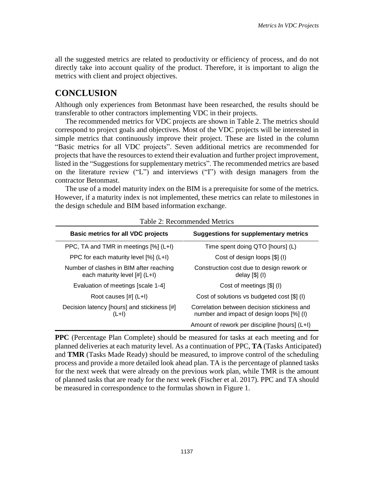all the suggested metrics are related to productivity or efficiency of process, and do not directly take into account quality of the product. Therefore, it is important to align the metrics with client and project objectives.

## **CONCLUSION**

Although only experiences from Betonmast have been researched, the results should be transferable to other contractors implementing VDC in their projects.

The recommended metrics for VDC projects are shown in [Table 2.](#page-8-0) The metrics should correspond to project goals and objectives. Most of the VDC projects will be interested in simple metrics that continuously improve their project. These are listed in the column "Basic metrics for all VDC projects". Seven additional metrics are recommended for projects that have the resources to extend their evaluation and further project improvement, listed in the "Suggestions for supplementary metrics". The recommended metrics are based on the literature review ("L") and interviews ("I") with design managers from the contractor Betonmast.

The use of a model maturity index on the BIM is a prerequisite for some of the metrics. However, if a maturity index is not implemented, these metrics can relate to milestones in the design schedule and BIM based information exchange.

<span id="page-8-0"></span>

| <b>Basic metrics for all VDC projects</b>                                | <b>Suggestions for supplementary metrics</b>                                             |  |  |
|--------------------------------------------------------------------------|------------------------------------------------------------------------------------------|--|--|
| PPC, TA and TMR in meetings [%] (L+I)                                    | Time spent doing QTO [hours] (L)                                                         |  |  |
| PPC for each maturity level [%] (L+I)                                    | Cost of design loops [\$] (I)                                                            |  |  |
| Number of clashes in BIM after reaching<br>each maturity level [#] (L+I) | Construction cost due to design rework or<br>delay $[$]$ $($ ])                          |  |  |
| Evaluation of meetings [scale 1-4]                                       | Cost of meetings [\$] (I)                                                                |  |  |
| Root causes $[\#]$ (L+I)                                                 | Cost of solutions vs budgeted cost [\$] (I)                                              |  |  |
| Decision latency [hours] and stickiness [#]<br>(L+I)                     | Correlation between decision stickiness and<br>number and impact of design loops [%] (I) |  |  |
|                                                                          | Amount of rework per discipline [hours] (L+I)                                            |  |  |

Table 2: Recommended Metrics

**PPC** (Percentage Plan Complete) should be measured for tasks at each meeting and for planned deliveries at each maturity level. As a continuation of PPC, **TA** (Tasks Anticipated) and **TMR** (Tasks Made Ready) should be measured, to improve control of the scheduling process and provide a more detailed look ahead plan. TA is the percentage of planned tasks for the next week that were already on the previous work plan, while TMR is the amount of planned tasks that are ready for the next week (Fischer et al. 2017). PPC and TA should be measured in correspondence to the formulas shown in [Figure 1.](#page-9-0)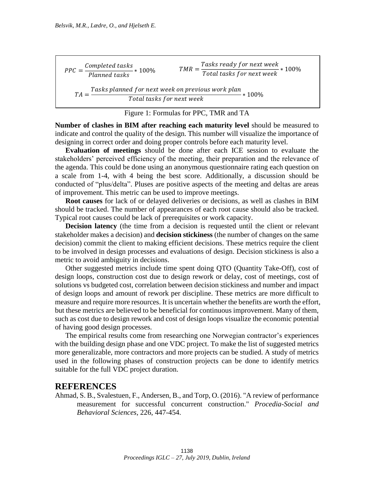$TMR =$ Tasks ready for next week  $PPC = \frac{\text{Compteteut uss}}{\text{Planned tasks}} * 100\%$   $TMR = \frac{\text{Tr}(1.00 \text{ m/s})}{\text{Total tasks for next week}} * 100\%$ Completed tasks  $\frac{m_{P}^{2} \times 100 m_{P}^{2}}{Planned tasks} * 100\%$  $TA =$ Tasks planned for next week on previous work plan Total tasks for next week ∗ 100%

#### Figure 1: Formulas for PPC, TMR and TA

<span id="page-9-0"></span>**Number of clashes in BIM after reaching each maturity level** should be measured to indicate and control the quality of the design. This number will visualize the importance of designing in correct order and doing proper controls before each maturity level.

**Evaluation of meetings** should be done after each ICE session to evaluate the stakeholders' perceived efficiency of the meeting, their preparation and the relevance of the agenda. This could be done using an anonymous questionnaire rating each question on a scale from 1-4, with 4 being the best score. Additionally, a discussion should be conducted of "plus/delta". Pluses are positive aspects of the meeting and deltas are areas of improvement. This metric can be used to improve meetings.

**Root causes** for lack of or delayed deliveries or decisions, as well as clashes in BIM should be tracked. The number of appearances of each root cause should also be tracked. Typical root causes could be lack of prerequisites or work capacity.

**Decision latency** (the time from a decision is requested until the client or relevant stakeholder makes a decision) and **decision stickiness** (the number of changes on the same decision) commit the client to making efficient decisions. These metrics require the client to be involved in design processes and evaluations of design. Decision stickiness is also a metric to avoid ambiguity in decisions.

Other suggested metrics include time spent doing QTO (Quantity Take-Off), cost of design loops, construction cost due to design rework or delay, cost of meetings, cost of solutions vs budgeted cost, correlation between decision stickiness and number and impact of design loops and amount of rework per discipline. These metrics are more difficult to measure and require more resources. It is uncertain whether the benefits are worth the effort, but these metrics are believed to be beneficial for continuous improvement. Many of them, such as cost due to design rework and cost of design loops visualize the economic potential of having good design processes.

The empirical results come from researching one Norwegian contractor's experiences with the building design phase and one VDC project. To make the list of suggested metrics more generalizable, more contractors and more projects can be studied. A study of metrics used in the following phases of construction projects can be done to identify metrics suitable for the full VDC project duration.

### **REFERENCES**

Ahmad, S. B., Svalestuen, F., Andersen, B., and Torp, O. (2016). "A review of performance measurement for successful concurrent construction." *Procedia-Social and Behavioral Sciences*, 226, 447-454.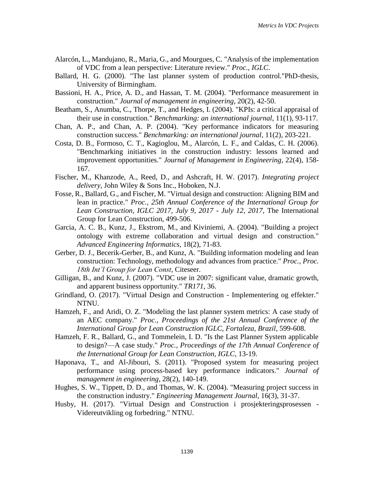- Alarcón, L., Mandujano, R., Maria, G., and Mourgues, C. "Analysis of the implementation of VDC from a lean perspective: Literature review." *Proc., IGLC*.
- Ballard, H. G. (2000). "The last planner system of production control."PhD-thesis, University of Birmingham.
- Bassioni, H. A., Price, A. D., and Hassan, T. M. (2004). "Performance measurement in construction." *Journal of management in engineering*, 20(2), 42-50.
- Beatham, S., Anumba, C., Thorpe, T., and Hedges, I. (2004). "KPIs: a critical appraisal of their use in construction." *Benchmarking: an international journal*, 11(1), 93-117.
- Chan, A. P., and Chan, A. P. (2004). "Key performance indicators for measuring construction success." *Benchmarking: an international journal*, 11(2), 203-221.
- Costa, D. B., Formoso, C. T., Kagioglou, M., Alarcón, L. F., and Caldas, C. H. (2006). "Benchmarking initiatives in the construction industry: lessons learned and improvement opportunities." *Journal of Management in Engineering*, 22(4), 158- 167.
- Fischer, M., Khanzode, A., Reed, D., and Ashcraft, H. W. (2017). *Integrating project delivery*, John Wiley & Sons Inc., Hoboken, N.J.
- Fosse, R., Ballard, G., and Fischer, M. "Virtual design and construction: Aligning BIM and lean in practice." *Proc., 25th Annual Conference of the International Group for Lean Construction, IGLC 2017, July 9, 2017 - July 12, 2017*, The International Group for Lean Construction, 499-506.
- Garcia, A. C. B., Kunz, J., Ekstrom, M., and Kiviniemi, A. (2004). "Building a project ontology with extreme collaboration and virtual design and construction." *Advanced Engineering Informatics*, 18(2), 71-83.
- Gerber, D. J., Becerik-Gerber, B., and Kunz, A. "Building information modeling and lean construction: Technology, methodology and advances from practice." *Proc., Proc. 18th Int'l Group for Lean Const*, Citeseer.
- Gilligan, B., and Kunz, J. (2007). "VDC use in 2007: significant value, dramatic growth, and apparent business opportunity." *TR171*, 36.
- Grindland, O. (2017). "Virtual Design and Construction Implementering og effekter." NTNU.
- Hamzeh, F., and Aridi, O. Z. "Modeling the last planner system metrics: A case study of an AEC company." *Proc., Proceedings of the 21st Annual Conference of the International Group for Lean Construction IGLC, Fortaleza, Brazil*, 599-608.
- Hamzeh, F. R., Ballard, G., and Tommelein, I. D. "Is the Last Planner System applicable to design?—A case study." *Proc., Proceedings of the 17th Annual Conference of the International Group for Lean Construction, IGLC*, 13-19.
- Haponava, T., and Al-Jibouri, S. (2011). "Proposed system for measuring project performance using process-based key performance indicators." *Journal of management in engineering*, 28(2), 140-149.
- Hughes, S. W., Tippett, D. D., and Thomas, W. K. (2004). "Measuring project success in the construction industry." *Engineering Management Journal*, 16(3), 31-37.
- Husby, H. (2017). "Virtual Design and Construction i prosjekteringsprosessen Videreutvikling og forbedring." NTNU.